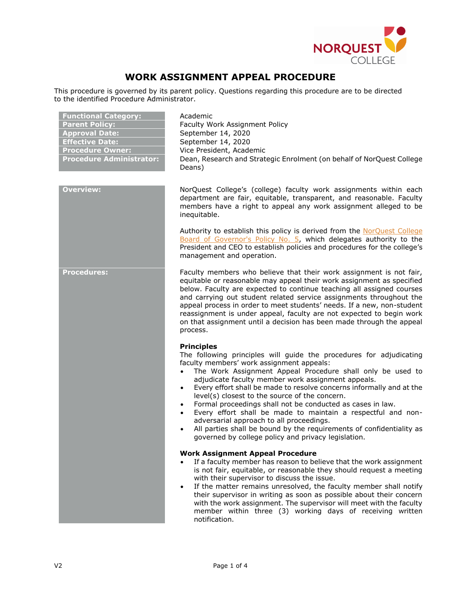

## **WORK ASSIGNMENT APPEAL PROCEDURE**

This procedure is governed by its parent policy. Questions regarding this procedure are to be directed to the identified Procedure Administrator.

| <b>Functional Category:</b><br><b>Parent Policy:</b><br><b>Approval Date:</b><br><b>Effective Date:</b><br><b>Procedure Owner:</b><br><b>Procedure Administrator:</b> | Academic<br>Faculty Work Assignment Policy<br>September 14, 2020<br>September 14, 2020<br>Vice President, Academic<br>Dean, Research and Strategic Enrolment (on behalf of NorQuest College<br>Deans)                                                                                                                                                                                                                                                                                                                                                                                                                                                                                                                               |
|-----------------------------------------------------------------------------------------------------------------------------------------------------------------------|-------------------------------------------------------------------------------------------------------------------------------------------------------------------------------------------------------------------------------------------------------------------------------------------------------------------------------------------------------------------------------------------------------------------------------------------------------------------------------------------------------------------------------------------------------------------------------------------------------------------------------------------------------------------------------------------------------------------------------------|
| <b>Overview:</b>                                                                                                                                                      | NorQuest College's (college) faculty work assignments within each<br>department are fair, equitable, transparent, and reasonable. Faculty<br>members have a right to appeal any work assignment alleged to be<br>inequitable.                                                                                                                                                                                                                                                                                                                                                                                                                                                                                                       |
|                                                                                                                                                                       | Authority to establish this policy is derived from the NorQuest College<br>Board of Governor's Policy No. 5, which delegates authority to the<br>President and CEO to establish policies and procedures for the college's<br>management and operation.                                                                                                                                                                                                                                                                                                                                                                                                                                                                              |
| <b>Procedures:</b>                                                                                                                                                    | Faculty members who believe that their work assignment is not fair,<br>equitable or reasonable may appeal their work assignment as specified<br>below. Faculty are expected to continue teaching all assigned courses<br>and carrying out student related service assignments throughout the<br>appeal process in order to meet students' needs. If a new, non-student<br>reassignment is under appeal, faculty are not expected to begin work<br>on that assignment until a decision has been made through the appeal<br>process.                                                                                                                                                                                                  |
|                                                                                                                                                                       | <b>Principles</b><br>The following principles will guide the procedures for adjudicating<br>faculty members' work assignment appeals:<br>The Work Assignment Appeal Procedure shall only be used to<br>adjudicate faculty member work assignment appeals.<br>Every effort shall be made to resolve concerns informally and at the<br>$\bullet$<br>level(s) closest to the source of the concern.<br>Formal proceedings shall not be conducted as cases in law.<br>$\bullet$<br>Every effort shall be made to maintain a respectful and non-<br>adversarial approach to all proceedings.<br>All parties shall be bound by the requirements of confidentiality as<br>$\bullet$<br>governed by college policy and privacy legislation. |
|                                                                                                                                                                       | <b>Work Assignment Appeal Procedure</b><br>If a faculty member has reason to believe that the work assignment<br>is not fair, equitable, or reasonable they should request a meeting<br>with their supervisor to discuss the issue.<br>If the matter remains unresolved, the faculty member shall notify<br>$\bullet$<br>their supervisor in writing as soon as possible about their concern<br>with the work assignment. The supervisor will meet with the faculty<br>member within three (3) working days of receiving written<br>notification.                                                                                                                                                                                   |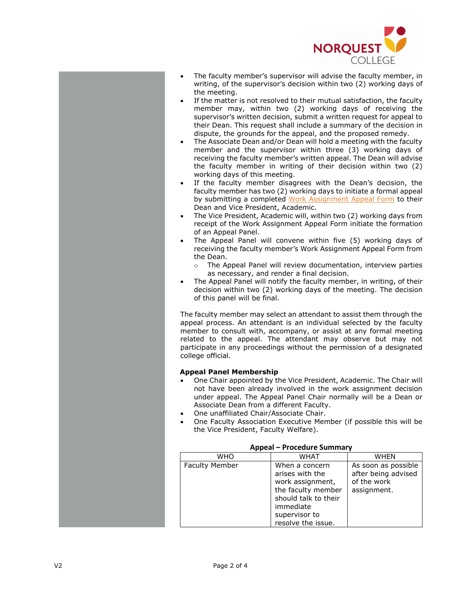

- The faculty member's supervisor will advise the faculty member, in writing, of the supervisor's decision within two (2) working days of the meeting.
- If the matter is not resolved to their mutual satisfaction, the faculty member may, within two (2) working days of receiving the supervisor's written decision, submit a written request for appeal to their Dean. This request shall include a summary of the decision in dispute, the grounds for the appeal, and the proposed remedy.
- The Associate Dean and/or Dean will hold a meeting with the faculty member and the supervisor within three ( 3) working days of receiving the faculty member's written appeal. The Dean will advise the faculty member in writing of their decision within two (2) working days of this meeting.
- If the faculty member disagrees with the Dean's decision, the faculty member has two (2) working days to initiate a formal appeal by submitting a completed [Work Assignment Appeal Form](http://theq.norquest.ca/Departments/TeachingLearning/Public-Documents/Forms/Work-Assignment-Appeal-Form.aspx) to their Dean and Vice President, Academic .
- The Vice President, Academic will, within two (2) working days from receipt of the Work Assignment Appeal Form initiate the formation of an Appeal Panel .
- The Appeal Panel will convene within five (5) working days of receiving the faculty member's Work Assignment Appeal Form from the Dean.
	- o The Appeal Panel will review documentation, interview parties as necessary, and render a final decision.
- The Appeal Panel will notify the faculty member, in writing, of their decision within two (2) working days of the meeting. The decision of this panel will be final.

The faculty member may select an attendant to assist them through the appeal process. An attendant is an individual selected by the faculty member to consult with, accompany , or assist at any formal meeting related to the appeal. The attendant may observe but may not participate in any proceedings without the permission of a designated college official.

## **Appeal Panel Membership**

- One Chair appointed by the Vice President , Academic . The Chair will not have been already involved in the work assignment decision under appeal. The Appeal Panel Chair normally will be a Dean or Associate Dean from a different Faculty .
- One unaffiliated Chair/Associate Chair .
- One Faculty Association Executive Member (if possible this will be the Vice President, Faculty Welfare) .

| Appear – Procedure Summary |                                                                                                                                                         |                                                                          |  |  |  |
|----------------------------|---------------------------------------------------------------------------------------------------------------------------------------------------------|--------------------------------------------------------------------------|--|--|--|
| WHO                        | <b>WHAT</b>                                                                                                                                             | WHFN                                                                     |  |  |  |
| <b>Faculty Member</b>      | When a concern<br>arises with the<br>work assignment,<br>the faculty member<br>should talk to their<br>immediate<br>supervisor to<br>resolve the issue. | As soon as possible<br>after being advised<br>of the work<br>assignment. |  |  |  |

## **Appeal – Procedure Summary**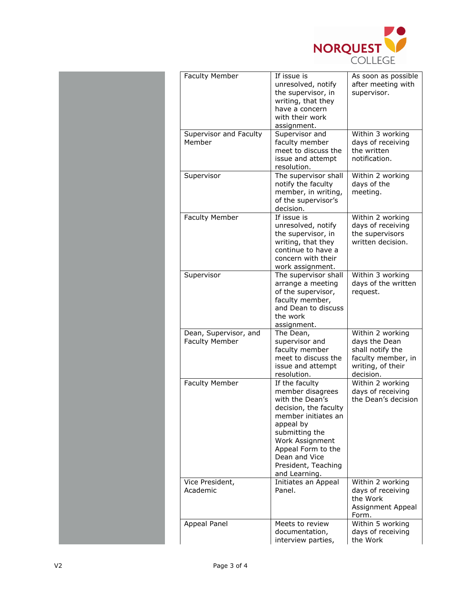

| <b>Faculty Member</b>                          | If issue is<br>unresolved, notify<br>the supervisor, in<br>writing, that they<br>have a concern<br>with their work<br>assignment.                                                                                                      | As soon as possible<br>after meeting with<br>supervisor.                                                      |  |
|------------------------------------------------|----------------------------------------------------------------------------------------------------------------------------------------------------------------------------------------------------------------------------------------|---------------------------------------------------------------------------------------------------------------|--|
| Supervisor and Faculty<br>Member               | Supervisor and<br>faculty member<br>meet to discuss the<br>issue and attempt<br>resolution.                                                                                                                                            | Within 3 working<br>days of receiving<br>the written<br>notification.                                         |  |
| Supervisor                                     | The supervisor shall<br>notify the faculty<br>member, in writing,<br>of the supervisor's<br>decision.                                                                                                                                  | Within 2 working<br>days of the<br>meeting.                                                                   |  |
| <b>Faculty Member</b>                          | If issue is<br>unresolved, notify<br>the supervisor, in<br>writing, that they<br>continue to have a<br>concern with their<br>work assignment.                                                                                          | Within 2 working<br>days of receiving<br>the supervisors<br>written decision.                                 |  |
| Supervisor                                     | The supervisor shall<br>arrange a meeting<br>of the supervisor,<br>faculty member,<br>and Dean to discuss<br>the work<br>assignment.                                                                                                   | Within 3 working<br>days of the written<br>request.                                                           |  |
| Dean, Supervisor, and<br><b>Faculty Member</b> | The Dean,<br>supervisor and<br>faculty member<br>meet to discuss the<br>issue and attempt<br>resolution.                                                                                                                               | Within 2 working<br>days the Dean<br>shall notify the<br>faculty member, in<br>writing, of their<br>decision. |  |
| <b>Faculty Member</b>                          | If the faculty<br>member disagrees<br>with the Dean's<br>decision, the faculty<br>member initiates an<br>appeal by<br>submitting the<br>Work Assignment<br>Appeal Form to the<br>Dean and Vice<br>President, Teaching<br>and Learning. | Within 2 working<br>days of receiving<br>the Dean's decision                                                  |  |
| Vice President,<br>Academic                    | Initiates an Appeal<br>Panel.                                                                                                                                                                                                          | Within 2 working<br>days of receiving<br>the Work<br>Assignment Appeal<br>Form.                               |  |
| Appeal Panel                                   | Meets to review<br>documentation,<br>interview parties,                                                                                                                                                                                | Within 5 working<br>days of receiving<br>the Work                                                             |  |